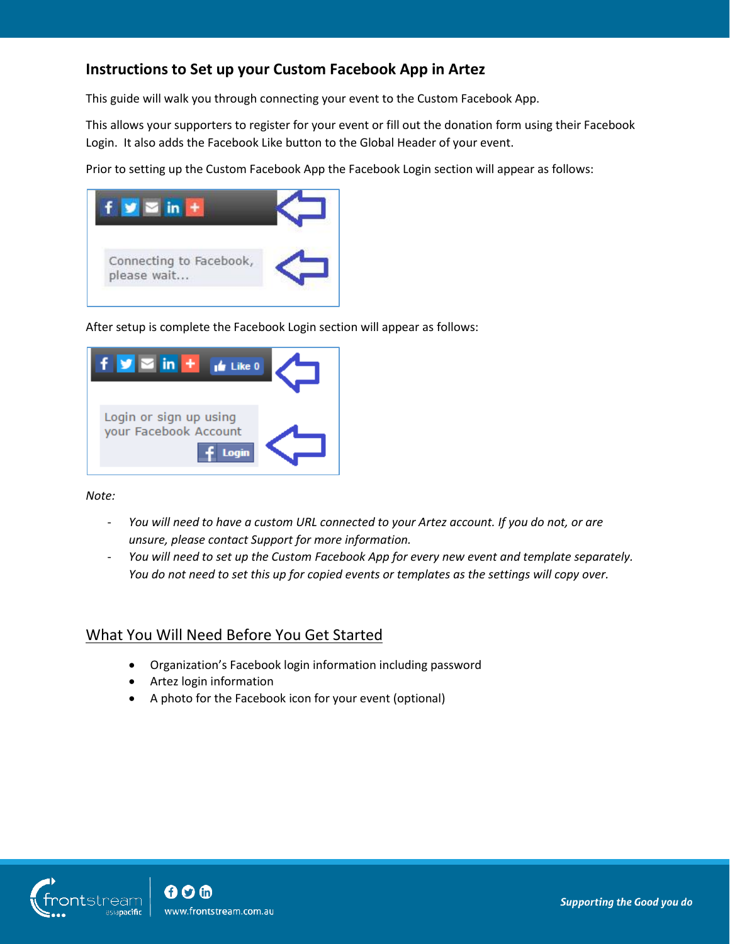# **Instructions to Set up your Custom Facebook App in Artez**

This guide will walk you through connecting your event to the Custom Facebook App.

This allows your supporters to register for your event or fill out the donation form using their Facebook Login. It also adds the Facebook Like button to the Global Header of your event.

Prior to setting up the Custom Facebook App the Facebook Login section will appear as follows:



After setup is complete the Facebook Login section will appear as follows:



*Note:* 

- *You will need to have a custom URL connected to your Artez account. If you do not, or are unsure, please contact Support for more information.*
- *You will need to set up the Custom Facebook App for every new event and template separately. You do not need to set this up for copied events or templates as the settings will copy over.*

## What You Will Need Before You Get Started

- Organization's Facebook login information including password
- Artez login information
- A photo for the Facebook icon for your event (optional)

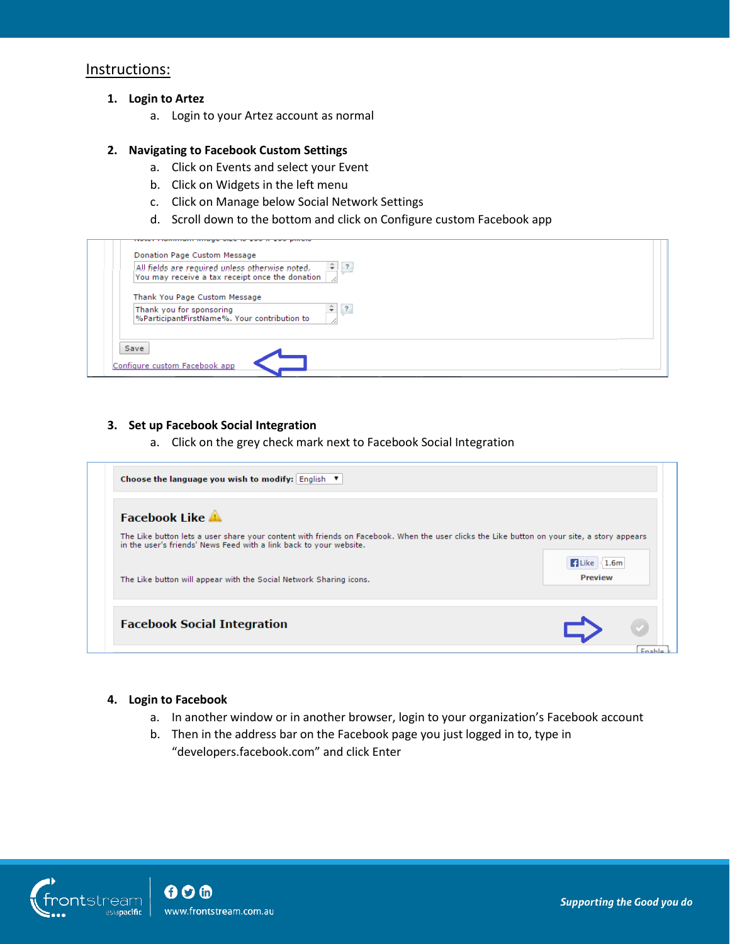# Instructions:

- **1. Login to Artez**
	- a. Login to your Artez account as normal

### **2. Navigating to Facebook Custom Settings**

- a. Click on Events and select your Event
- b. Click on Widgets in the left menu
- c. Click on Manage below Social Network Settings
- d. Scroll down to the bottom and click on Configure custom Facebook app

| All fields are required unless otherwise noted.<br>You may receive a tax receipt once the donation | $\frac{1}{2}$ ?              |  |
|----------------------------------------------------------------------------------------------------|------------------------------|--|
| Thank You Page Custom Message                                                                      |                              |  |
| Thank you for sponsoring<br>%ParticipantFirstName%. Your contribution to                           | $\overline{\mathbf{?}}$<br>÷ |  |
|                                                                                                    |                              |  |

#### **3. Set up Facebook Social Integration**

a. Click on the grey check mark next to Facebook Social Integration

| Choose the language you wish to modify: English ▼                                                                                                                                                                 |                                           |
|-------------------------------------------------------------------------------------------------------------------------------------------------------------------------------------------------------------------|-------------------------------------------|
| <b>Facebook Like A</b>                                                                                                                                                                                            |                                           |
| The Like button lets a user share your content with friends on Facebook. When the user clicks the Like button on your site, a story appears<br>in the user's friends' News Feed with a link back to your website. |                                           |
| The Like button will appear with the Social Network Sharing icons.                                                                                                                                                | <b>El Like &lt;1.6m</b><br><b>Preview</b> |
| <b>Facebook Social Integration</b>                                                                                                                                                                                |                                           |
|                                                                                                                                                                                                                   |                                           |

#### **4. Login to Facebook**

- a. In another window or in another browser, login to your organization's Facebook account
- b. Then in the address bar on the Facebook page you just logged in to, type in "developers.facebook.com" and click Enter

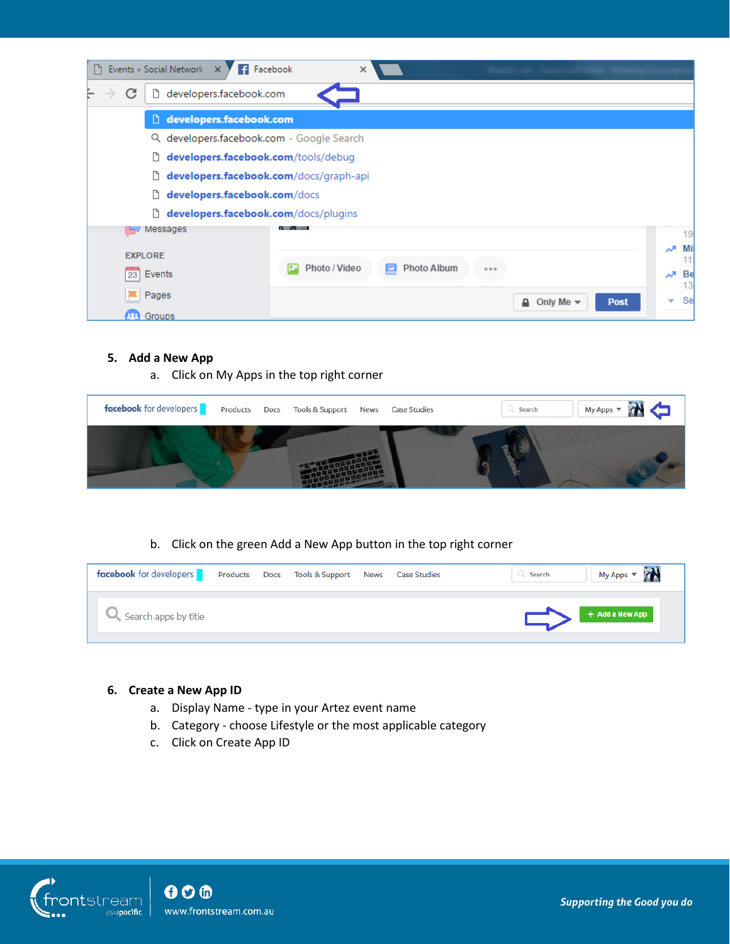| ۱۶             | Events » Social Network 8 X<br>Facebook      | ×                                 |                                                  |         |
|----------------|----------------------------------------------|-----------------------------------|--------------------------------------------------|---------|
| С              | <sup>1</sup> developers.facebook.com         |                                   |                                                  |         |
|                | developers.facebook.com                      |                                   |                                                  |         |
|                | Q developers.facebook.com - Google Search    |                                   |                                                  |         |
|                | developers.facebook.com/tools/debug<br>Ľ     |                                   |                                                  |         |
|                | developers.facebook.com/docs/graph-api<br>D. |                                   |                                                  |         |
|                | D.<br>developers.facebook.com/docs           |                                   |                                                  |         |
|                | D.<br>developers.facebook.com/docs/plugins   |                                   |                                                  |         |
|                | Messages                                     |                                   |                                                  | 19      |
| <b>EXPLORE</b> |                                              |                                   |                                                  | Mi<br>ᄶ |
| 23             | Events                                       | Photo / Video<br>Photo Album<br>E | 0.0.0                                            | Be<br>ᄶ |
|                |                                              |                                   |                                                  | 13      |
|                | Pages                                        |                                   | <b>Post</b><br>Only Me $\blacktriangledown$<br>≏ | Se<br>▼ |
|                | Groups                                       |                                   |                                                  |         |

## **5. Add a New App**

a. Click on My Apps in the top right corner

| facebook for developers | Products | Docs Tools & Support News Case Studies |  | Search | My Apps v |
|-------------------------|----------|----------------------------------------|--|--------|-----------|
|                         |          |                                        |  |        |           |

## b. Click on the green Add a New App button in the top right corner

| <b>facebook</b> for developers |  | Products Docs Tools & Support News | <b>Case Studies</b> | My Apps v<br>Search |
|--------------------------------|--|------------------------------------|---------------------|---------------------|
| Search apps by title           |  |                                    |                     | + Add a New App     |

# **6. Create a New App ID**

- a. Display Name type in your Artez event name
- b. Category choose Lifestyle or the most applicable category
- c. Click on Create App ID

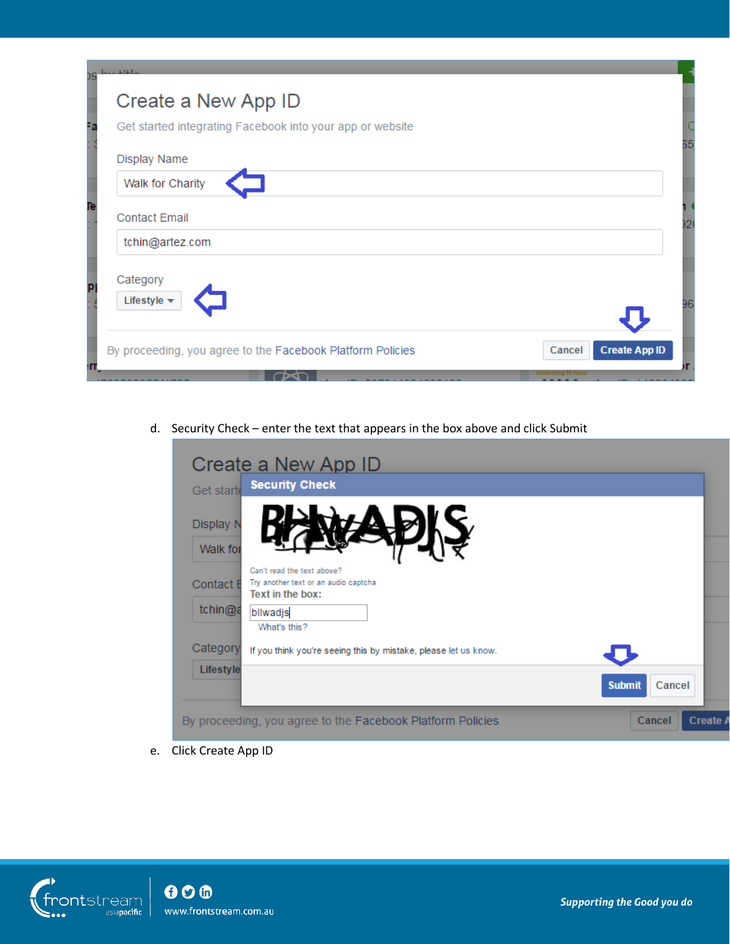| Create a New App ID                                       |                      |
|-----------------------------------------------------------|----------------------|
| Get started integrating Facebook into your app or website |                      |
| Display Name                                              |                      |
| Walk for Charity                                          |                      |
| <b>Contact Email</b>                                      |                      |
| tchin@artez.com                                           |                      |
| Category                                                  |                      |
| Lifestyle $\star$                                         |                      |
|                                                           | <b>Create App ID</b> |

d. Security Check – enter the text that appears in the box above and click Submit

| Create a New App ID                                                                                        |          |
|------------------------------------------------------------------------------------------------------------|----------|
| <b>Security Check</b><br>Get starte                                                                        |          |
| Display N<br>Walk for                                                                                      |          |
| Can't read the text above?<br>Try another text or an audio captcha<br>Contact <b>E</b><br>Text in the box: |          |
| tchin@a<br>bllwadjs<br>What's this?                                                                        |          |
| Category<br>If you think you're seeing this by mistake, please let us know.                                |          |
| Lifestyle<br><b>Submit</b><br>Cancel                                                                       |          |
| Cancel<br>By proceeding, you agree to the Facebook Platform Policies                                       | Create / |

e. Click Create App ID

T.

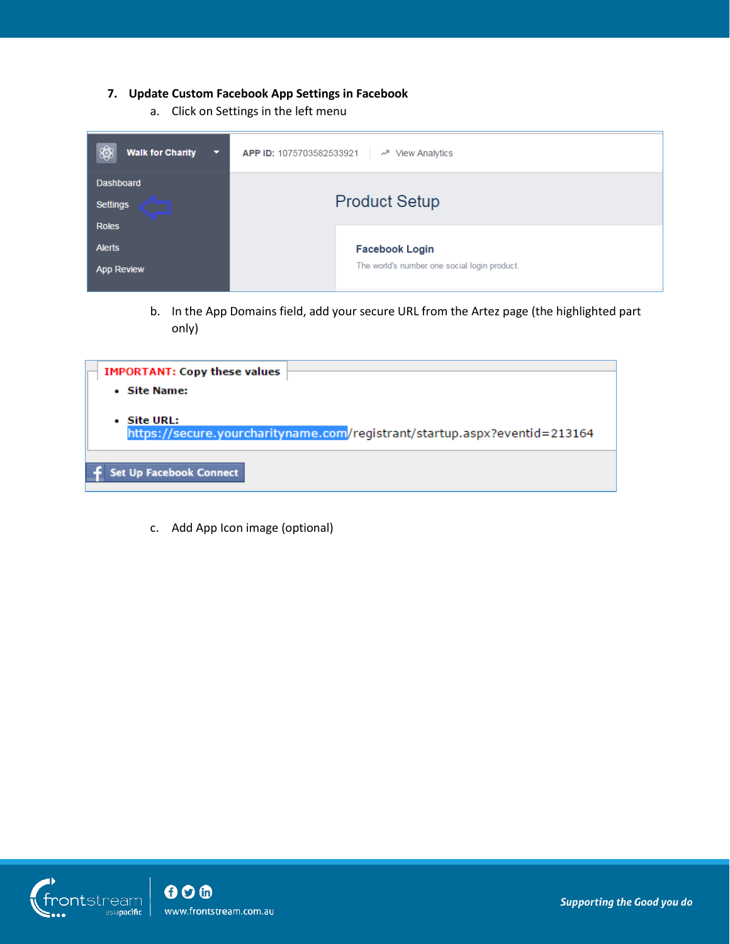## **7. Update Custom Facebook App Settings in Facebook**

a. Click on Settings in the left menu

| <b>Walk for Charity</b>                             | APP ID: 1075703582533921                     |
|-----------------------------------------------------|----------------------------------------------|
| ▧                                                   | <b>View Analytics</b>                        |
| ॼ                                                   | ᆻ                                            |
| <b>Dashboard</b><br><b>Settings</b><br><b>Roles</b> | <b>Product Setup</b>                         |
| <b>Alerts</b>                                       | <b>Facebook Login</b>                        |
| <b>App Review</b>                                   | The world's number one social login product. |

b. In the App Domains field, add your secure URL from the Artez page (the highlighted part only)

| <b>IMPORTANT: Copy these values</b> |                                                                           |
|-------------------------------------|---------------------------------------------------------------------------|
|                                     |                                                                           |
| • Site Name:                        |                                                                           |
|                                     |                                                                           |
| • Site URL:                         |                                                                           |
|                                     | https://secure.yourcharityname.com/registrant/startup.aspx?eventid=213164 |
|                                     |                                                                           |
|                                     |                                                                           |
| <b>Set Up Facebook Connect</b>      |                                                                           |
|                                     |                                                                           |
|                                     |                                                                           |

c. Add App Icon image (optional)

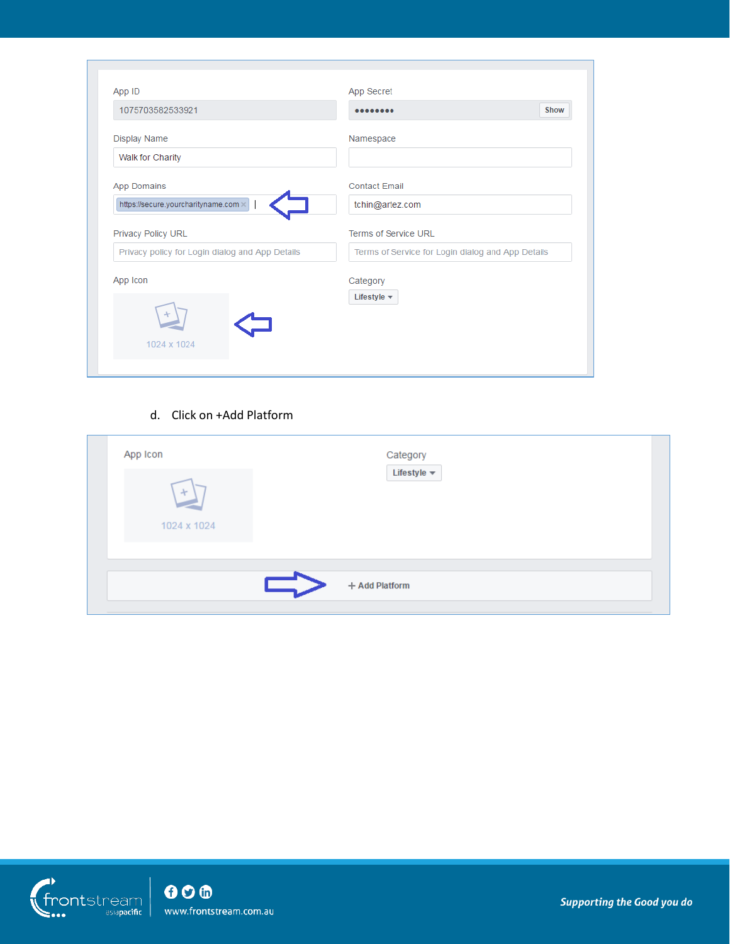| App ID                                          | App Secret                                        |      |
|-------------------------------------------------|---------------------------------------------------|------|
| 1075703582533921                                |                                                   | Show |
| <b>Display Name</b>                             | Namespace                                         |      |
| Walk for Charity                                |                                                   |      |
| <b>App Domains</b>                              | <b>Contact Email</b>                              |      |
| https://secure.yourcharityname.com x            | tchin@artez.com                                   |      |
| Privacy Policy URL                              | Terms of Service URL                              |      |
| Privacy policy for Login dialog and App Details | Terms of Service for Login dialog and App Details |      |
| App Icon                                        | Category                                          |      |
|                                                 | Lifestyle $\blacktriangledown$                    |      |
|                                                 |                                                   |      |
|                                                 |                                                   |      |

## d. Click on +Add Platform

| App Icon    | Category                       |  |
|-------------|--------------------------------|--|
| $+$         | Lifestyle $\blacktriangledown$ |  |
| 1024 x 1024 |                                |  |
|             |                                |  |
|             | + Add Platform                 |  |

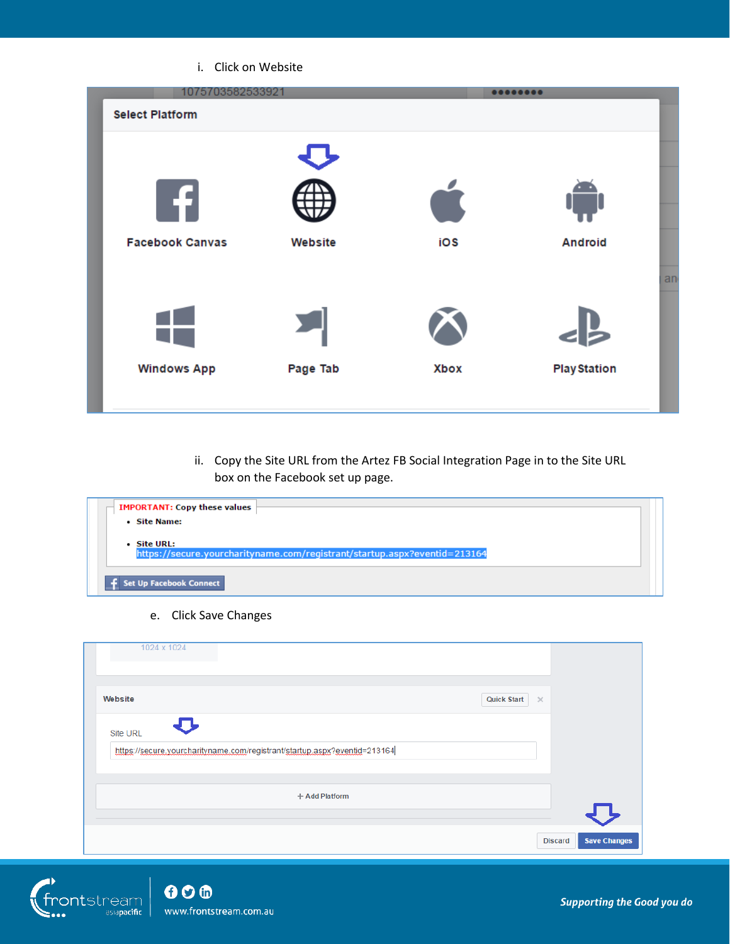#### i. Click on Website

| 1075703582533921       |          |             |                     |    |
|------------------------|----------|-------------|---------------------|----|
| <b>Select Platform</b> |          |             |                     |    |
| -FI                    |          |             |                     |    |
| <b>Facebook Canvas</b> | Website  | iOS         | <b>Android</b>      |    |
|                        |          |             |                     | an |
|                        |          |             |                     |    |
| <b>Windows App</b>     | Page Tab | <b>Xbox</b> | <b>Play Station</b> |    |
|                        |          |             |                     |    |

ii. Copy the Site URL from the Artez FB Social Integration Page in to the Site URL box on the Facebook set up page.

| <b>IMPORTANT: Copy these values</b>                                                      |  |
|------------------------------------------------------------------------------------------|--|
| • Site Name:                                                                             |  |
| • Site URL:<br>https://secure.yourcharityname.com/registrant/startup.aspx?eventid=213164 |  |
| <b>Set Up Facebook Connect</b>                                                           |  |

e. Click Save Changes

| 1024 x 1024                                                               |                                       |
|---------------------------------------------------------------------------|---------------------------------------|
| Website                                                                   | <b>Quick Start</b><br>$\times$        |
| <b>Site URL</b>                                                           |                                       |
| https://secure.yourcharityname.com/registrant/startup.aspx?eventid=213164 |                                       |
| + Add Platform                                                            |                                       |
|                                                                           | <b>Save Changes</b><br><b>Discard</b> |

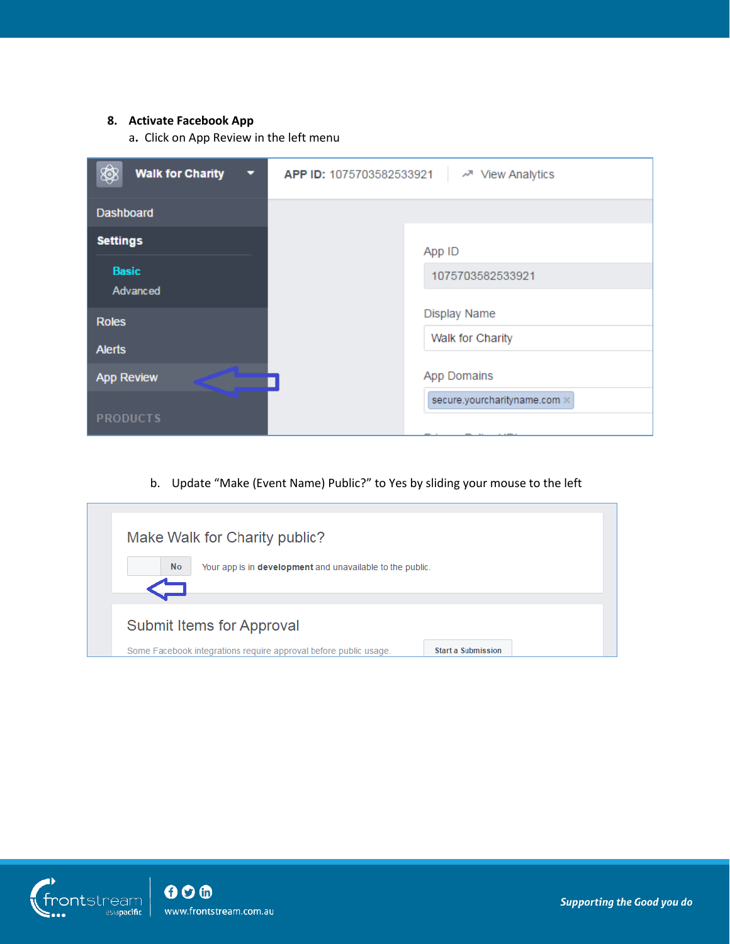### **8. Activate Facebook App**

a**.** Click on App Review in the left menu

| <b>Walk for Charity</b><br>▧<br>□ | APP ID: 1075703582533921<br>« <sup>™</sup> View Analytics |
|-----------------------------------|-----------------------------------------------------------|
| <b>Dashboard</b>                  |                                                           |
| <b>Settings</b>                   | App ID                                                    |
| <b>Basic</b><br>Advanced          | 1075703582533921                                          |
| <b>Roles</b>                      | <b>Display Name</b>                                       |
| <b>Alerts</b>                     | Walk for Charity                                          |
| <b>App Review</b>                 | <b>App Domains</b>                                        |
| <b>PRODUCTS</b>                   | secure.yourcharityname.com x<br>__                        |

b. Update "Make (Event Name) Public?" to Yes by sliding your mouse to the left

|           | Make Walk for Charity public?                                    |                           |
|-----------|------------------------------------------------------------------|---------------------------|
| <b>No</b> | Your app is in development and unavailable to the public.        |                           |
|           | Submit Items for Approval                                        |                           |
|           | Some Facebook integrations require approval before public usage. | <b>Start a Submission</b> |

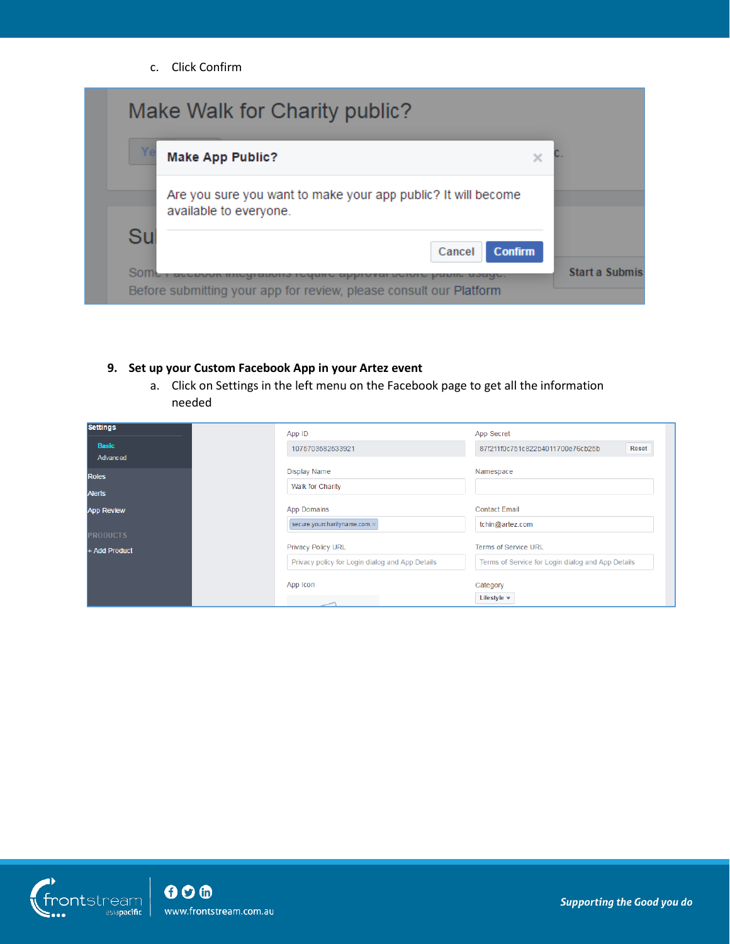c. Click Confirm

|    | <b>Make App Public?</b>                                                                 | $\times$ |  |
|----|-----------------------------------------------------------------------------------------|----------|--|
|    | Are you sure you want to make your app public? It will become<br>available to everyone. |          |  |
| Su | Cancel<br><b>Confirm</b>                                                                |          |  |

## **9. Set up your Custom Facebook App in your Artez event**

a. Click on Settings in the left menu on the Facebook page to get all the information needed

| <b>Settings</b>          | App ID                                                                | App Secret                                        |
|--------------------------|-----------------------------------------------------------------------|---------------------------------------------------|
| <b>Basic</b><br>Advanced | 1075703582533921                                                      | <b>Reset</b><br>87f211f0c751c822b4011700e76cb25b  |
| <b>Roles</b>             | <b>Display Name</b><br>Walk for Charity                               | Namespace                                         |
| <b>Alerts</b>            |                                                                       |                                                   |
| <b>App Review</b>        | <b>App Domains</b><br>secure.yourcharityname.com                      | <b>Contact Email</b><br>tchin@artez.com           |
| <b>PRODUCTS</b>          |                                                                       | <b>Terms of Service URL</b>                       |
| + Add Product            | Privacy Policy URL<br>Privacy policy for Login dialog and App Details | Terms of Service for Login dialog and App Details |
|                          | App Icon                                                              | Category<br>Lifestyle $\star$                     |

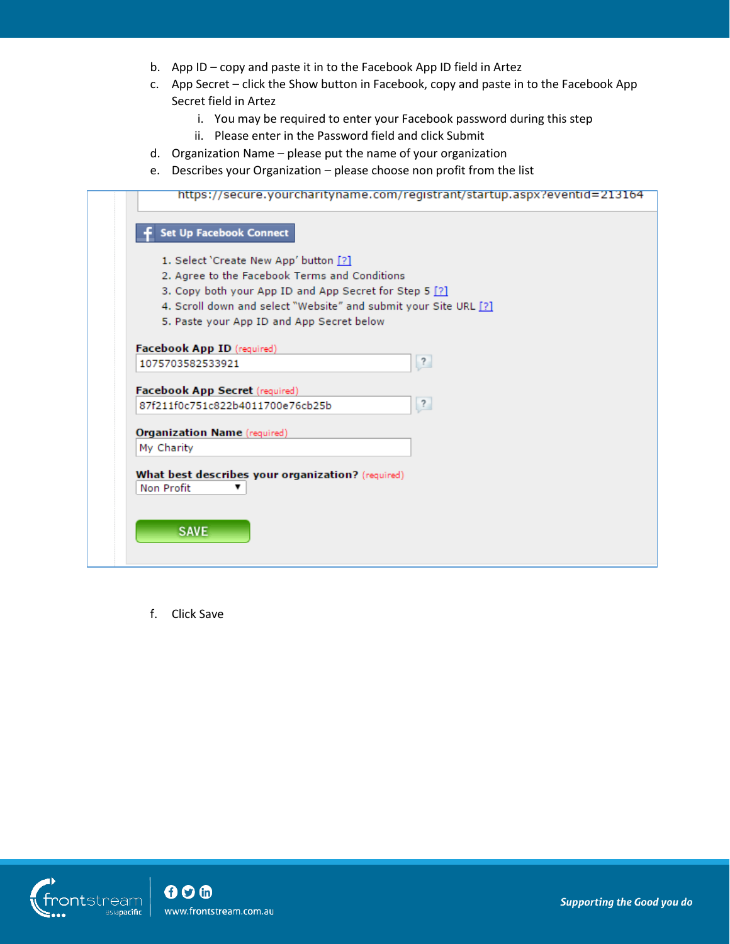- b. App ID copy and paste it in to the Facebook App ID field in Artez
- c. App Secret click the Show button in Facebook, copy and paste in to the Facebook App Secret field in Artez
	- i. You may be required to enter your Facebook password during this step
	- ii. Please enter in the Password field and click Submit
- d. Organization Name please put the name of your organization
- e. Describes your Organization please choose non profit from the list

| <b>Set Up Facebook Connect</b><br>1. Select 'Create New App' button [?]<br>2. Agree to the Facebook Terms and Conditions<br>3. Copy both your App ID and App Secret for Step 5 [?]<br>4. Scroll down and select "Website" and submit your Site URL [?]<br>5. Paste your App ID and App Secret below<br>Facebook App ID (required)<br>$\overline{\mathcal{E}}$<br>1075703582533921<br>Facebook App Secret (required)<br>$\overline{\mathbf{?}}$<br>87f211f0c751c822b4011700e76cb25b<br><b>Organization Name (required)</b> | https://secure.yourcharityname.com/registrant/startup.aspx?eventid=213164 |
|---------------------------------------------------------------------------------------------------------------------------------------------------------------------------------------------------------------------------------------------------------------------------------------------------------------------------------------------------------------------------------------------------------------------------------------------------------------------------------------------------------------------------|---------------------------------------------------------------------------|
|                                                                                                                                                                                                                                                                                                                                                                                                                                                                                                                           |                                                                           |
|                                                                                                                                                                                                                                                                                                                                                                                                                                                                                                                           |                                                                           |
|                                                                                                                                                                                                                                                                                                                                                                                                                                                                                                                           |                                                                           |
|                                                                                                                                                                                                                                                                                                                                                                                                                                                                                                                           |                                                                           |
|                                                                                                                                                                                                                                                                                                                                                                                                                                                                                                                           |                                                                           |
|                                                                                                                                                                                                                                                                                                                                                                                                                                                                                                                           |                                                                           |
|                                                                                                                                                                                                                                                                                                                                                                                                                                                                                                                           |                                                                           |
|                                                                                                                                                                                                                                                                                                                                                                                                                                                                                                                           |                                                                           |
|                                                                                                                                                                                                                                                                                                                                                                                                                                                                                                                           |                                                                           |
|                                                                                                                                                                                                                                                                                                                                                                                                                                                                                                                           |                                                                           |
|                                                                                                                                                                                                                                                                                                                                                                                                                                                                                                                           |                                                                           |
|                                                                                                                                                                                                                                                                                                                                                                                                                                                                                                                           |                                                                           |
|                                                                                                                                                                                                                                                                                                                                                                                                                                                                                                                           | My Charity                                                                |
|                                                                                                                                                                                                                                                                                                                                                                                                                                                                                                                           |                                                                           |
| What best describes your organization? (required)<br>Non Profit                                                                                                                                                                                                                                                                                                                                                                                                                                                           |                                                                           |
|                                                                                                                                                                                                                                                                                                                                                                                                                                                                                                                           |                                                                           |
|                                                                                                                                                                                                                                                                                                                                                                                                                                                                                                                           | <b>SAVE</b>                                                               |
|                                                                                                                                                                                                                                                                                                                                                                                                                                                                                                                           |                                                                           |
|                                                                                                                                                                                                                                                                                                                                                                                                                                                                                                                           |                                                                           |

f. Click Save

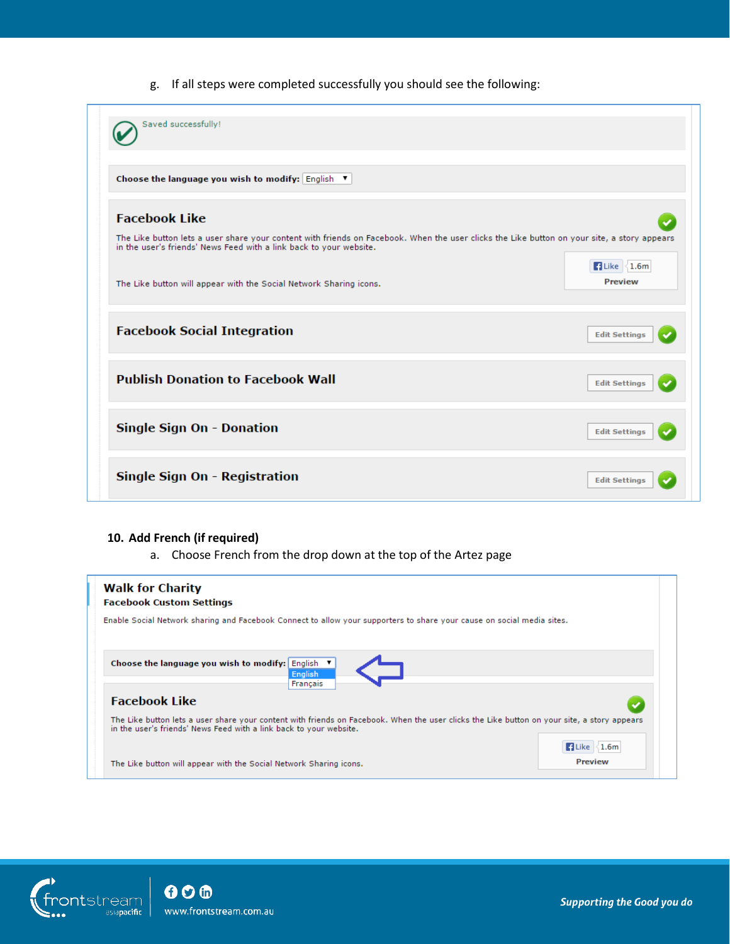g. If all steps were completed successfully you should see the following:

| Saved successfully!                                                                                                                                                                                               |                                                    |
|-------------------------------------------------------------------------------------------------------------------------------------------------------------------------------------------------------------------|----------------------------------------------------|
| Choose the language you wish to modify: English ▼                                                                                                                                                                 |                                                    |
| <b>Facebook Like</b>                                                                                                                                                                                              |                                                    |
| The Like button lets a user share your content with friends on Facebook. When the user clicks the Like button on your site, a story appears<br>in the user's friends' News Feed with a link back to your website. |                                                    |
| The Like button will appear with the Social Network Sharing icons.                                                                                                                                                | $\blacksquare$ Like $\vert$ 1.6m<br><b>Preview</b> |
| <b>Facebook Social Integration</b>                                                                                                                                                                                | <b>Edit Settings</b>                               |
| <b>Publish Donation to Facebook Wall</b>                                                                                                                                                                          | <b>Edit Settings</b>                               |
| <b>Single Sign On - Donation</b>                                                                                                                                                                                  | <b>Edit Settings</b>                               |
| Single Sign On - Registration                                                                                                                                                                                     | <b>Edit Settings</b>                               |

### **10. Add French (if required)**

a. Choose French from the drop down at the top of the Artez page

| <b>Walk for Charity</b><br><b>Facebook Custom Settings</b>                                                                                                                                                        |                |
|-------------------------------------------------------------------------------------------------------------------------------------------------------------------------------------------------------------------|----------------|
| Enable Social Network sharing and Facebook Connect to allow your supporters to share your cause on social media sites.                                                                                            |                |
| Choose the language you wish to modify: English ▼<br>English<br>Français                                                                                                                                          |                |
| <b>Facebook Like</b>                                                                                                                                                                                              |                |
| The Like button lets a user share your content with friends on Facebook. When the user clicks the Like button on your site, a story appears<br>in the user's friends' News Feed with a link back to your website. |                |
|                                                                                                                                                                                                                   | Like \1.6m     |
| The Like button will appear with the Social Network Sharing icons.                                                                                                                                                | <b>Preview</b> |



 $000$ www.frontstream.com.au

Supporting the Good you do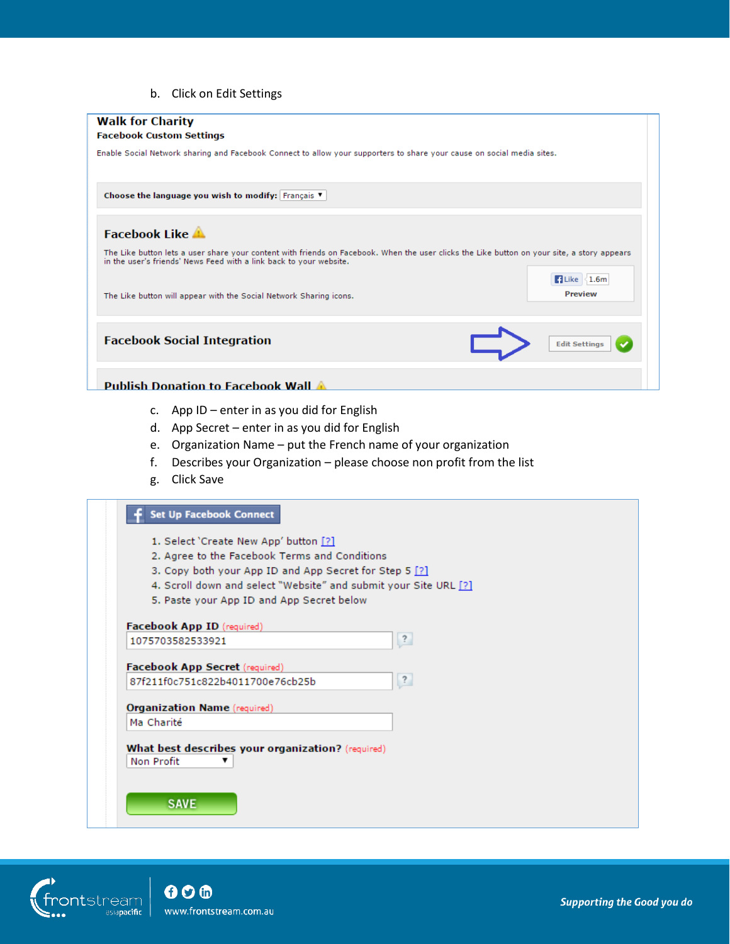b. Click on Edit Settings

| <b>Walk for Charity</b><br><b>Facebook Custom Settings</b>                                                                                                                                                        |
|-------------------------------------------------------------------------------------------------------------------------------------------------------------------------------------------------------------------|
| Enable Social Network sharing and Facebook Connect to allow your supporters to share your cause on social media sites.                                                                                            |
| Choose the language you wish to modify: Français V                                                                                                                                                                |
| <b>Facebook Like A</b>                                                                                                                                                                                            |
| The Like button lets a user share your content with friends on Facebook. When the user clicks the Like button on your site, a story appears<br>in the user's friends' News Feed with a link back to your website. |
| $\blacksquare$ Like $\blacksquare$ 1.6m<br><b>Preview</b><br>The Like button will appear with the Social Network Sharing icons.                                                                                   |
| <b>Facebook Social Integration</b><br><b>Edit Settings</b>                                                                                                                                                        |
| <b>Publish Donation to Facebook Wall A</b>                                                                                                                                                                        |

- c. App ID enter in as you did for English
- d. App Secret enter in as you did for English
- e. Organization Name put the French name of your organization
- f. Describes your Organization please choose non profit from the list
- g. Click Save

|                                       | 2. Agree to the Facebook Terms and Conditions<br>3. Copy both your App ID and App Secret for Step 5 [?] | 4. Scroll down and select "Website" and submit your Site URL [?] |  |
|---------------------------------------|---------------------------------------------------------------------------------------------------------|------------------------------------------------------------------|--|
|                                       | 5. Paste your App ID and App Secret below                                                               |                                                                  |  |
| Facebook App ID (required)            |                                                                                                         |                                                                  |  |
| 1075703582533921                      |                                                                                                         | $\overline{\mathbf{z}}$                                          |  |
| <b>Facebook App Secret (required)</b> |                                                                                                         |                                                                  |  |
|                                       | 87f211f0c751c822b4011700e76cb25b                                                                        | $\ddot{?}$                                                       |  |
| <b>Organization Name (required)</b>   |                                                                                                         |                                                                  |  |
| Ma Charité                            |                                                                                                         |                                                                  |  |
|                                       |                                                                                                         |                                                                  |  |
| Non Profit                            | What best describes your organization? (required)                                                       |                                                                  |  |
|                                       |                                                                                                         |                                                                  |  |



 $000$ www.frontstream.com.au